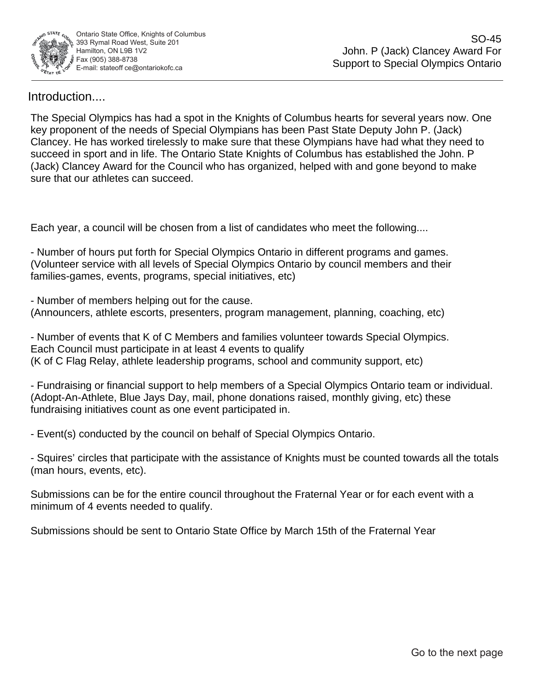

Introduction....

SO-45<br>Clancey Award For<br>al Olympics Ontario<br>Il years now. One<br>m P. (Jack)<br>dat they need to<br>de John. P<br>yond to make<br>g.....<br>g.....<br>g.....<br>games.<br>and their<br>mg, etc)<br>lympics.<br>tc)<br>eam or individual.<br>tc) these<br>wards all the tota The Special Olympics has had a spot in the Knights of Columbus hearts for several years now. One key proponent of the needs of Special Olympians has been Past State Deputy John P. (Jack) Clancey. He has worked tirelessly to make sure that these Olympians have had what they need to succeed in sport and in life. The Ontario State Knights of Columbus has established the John. P (Jack) Clancey Award for the Council who has organized, helped with and gone beyond to make sure that our athletes can succeed.

Each year, a council will be chosen from a list of candidates who meet the following....

- Number of hours put forth for Special Olympics Ontario in different programs and games. (Volunteer service with all levels of Special Olympics Ontario by council members and their families-games, events, programs, special initiatives, etc)

- Number of members helping out for the cause. (Announcers, athlete escorts, presenters, program management, planning, coaching, etc)

- Number of events that K of C Members and families volunteer towards Special Olympics. Each Council must participate in at least 4 events to qualify (K of C Flag Relay, athlete leadership programs, school and community support, etc)

- Fundraising or financial support to help members of a Special Olympics Ontario team or individual. (Adopt-An-Athlete, Blue Jays Day, mail, phone donations raised, monthly giving, etc) these fundraising initiatives count as one event participated in.

- Event(s) conducted by the council on behalf of Special Olympics Ontario.

- Squires' circles that participate with the assistance of Knights must be counted towards all the totals (man hours, events, etc).

Submissions can be for the entire council throughout the Fraternal Year or for each event with a minimum of 4 events needed to qualify.

Submissions should be sent to Ontario State Office by March 15th of the Fraternal Year